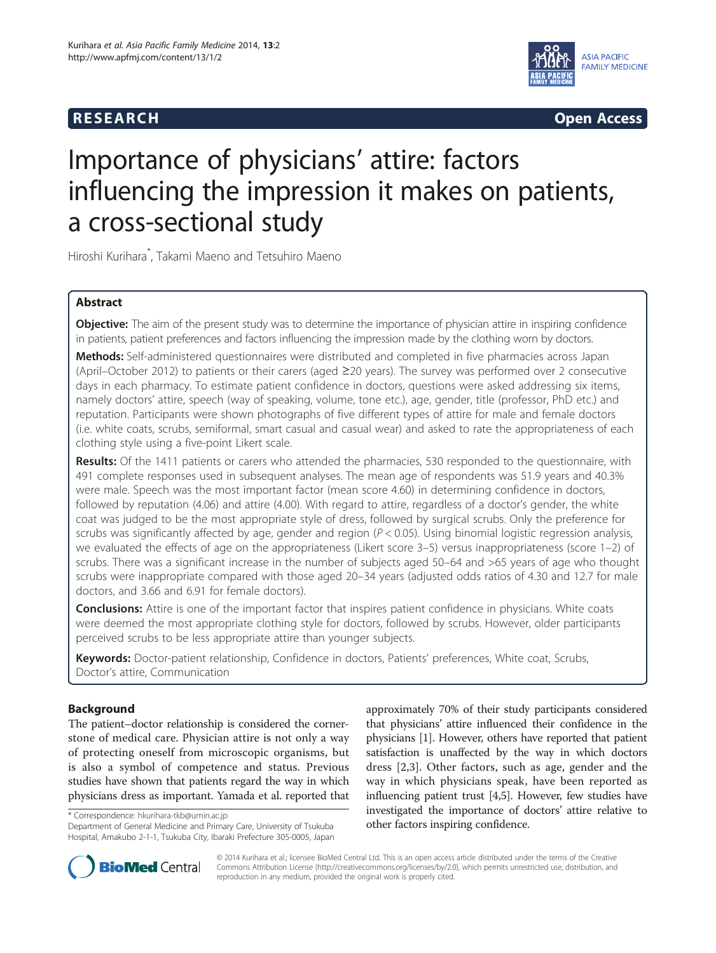



# Importance of physicians' attire: factors influencing the impression it makes on patients, a cross-sectional study

Hiroshi Kurihara\* , Takami Maeno and Tetsuhiro Maeno

# Abstract

Objective: The aim of the present study was to determine the importance of physician attire in inspiring confidence in patients, patient preferences and factors influencing the impression made by the clothing worn by doctors.

Methods: Self-administered questionnaires were distributed and completed in five pharmacies across Japan (April–October 2012) to patients or their carers (aged ≥20 years). The survey was performed over 2 consecutive days in each pharmacy. To estimate patient confidence in doctors, questions were asked addressing six items, namely doctors' attire, speech (way of speaking, volume, tone etc.), age, gender, title (professor, PhD etc.) and reputation. Participants were shown photographs of five different types of attire for male and female doctors (i.e. white coats, scrubs, semiformal, smart casual and casual wear) and asked to rate the appropriateness of each clothing style using a five-point Likert scale.

Results: Of the 1411 patients or carers who attended the pharmacies, 530 responded to the questionnaire, with 491 complete responses used in subsequent analyses. The mean age of respondents was 51.9 years and 40.3% were male. Speech was the most important factor (mean score 4.60) in determining confidence in doctors, followed by reputation (4.06) and attire (4.00). With regard to attire, regardless of a doctor's gender, the white coat was judged to be the most appropriate style of dress, followed by surgical scrubs. Only the preference for scrubs was significantly affected by age, gender and region ( $P < 0.05$ ). Using binomial logistic regression analysis, we evaluated the effects of age on the appropriateness (Likert score 3–5) versus inappropriateness (score 1–2) of scrubs. There was a significant increase in the number of subjects aged 50–64 and >65 years of age who thought scrubs were inappropriate compared with those aged 20–34 years (adjusted odds ratios of 4.30 and 12.7 for male doctors, and 3.66 and 6.91 for female doctors).

**Conclusions:** Attire is one of the important factor that inspires patient confidence in physicians. White coats were deemed the most appropriate clothing style for doctors, followed by scrubs. However, older participants perceived scrubs to be less appropriate attire than younger subjects.

Keywords: Doctor-patient relationship, Confidence in doctors, Patients' preferences, White coat, Scrubs, Doctor's attire, Communication

# Background

The patient–doctor relationship is considered the cornerstone of medical care. Physician attire is not only a way of protecting oneself from microscopic organisms, but is also a symbol of competence and status. Previous studies have shown that patients regard the way in which physicians dress as important. Yamada et al. reported that

Hospital, Amakubo 2-1-1, Tsukuba City, Ibaraki Prefecture 305-0005, Japan

approximately 70% of their study participants considered that physicians' attire influenced their confidence in the physicians [[1\]](#page-5-0). However, others have reported that patient satisfaction is unaffected by the way in which doctors dress [\[2](#page-5-0),[3\]](#page-5-0). Other factors, such as age, gender and the way in which physicians speak, have been reported as influencing patient trust [[4,5\]](#page-5-0). However, few studies have investigated the importance of doctors' attire relative to \* Correspondence: [hkurihara-tkb@umin.ac.jp](mailto:hkurihara-tkb@umin.ac.jp)<br>Department of General Medicine and Primary Care, University of Tsukuba **bleef factors inspiring confidence.** 



© 2014 Kurihara et al.; licensee BioMed Central Ltd. This is an open access article distributed under the terms of the Creative Commons Attribution License [\(http://creativecommons.org/licenses/by/2.0\)](http://creativecommons.org/licenses/by/2.0), which permits unrestricted use, distribution, and reproduction in any medium, provided the original work is properly cited.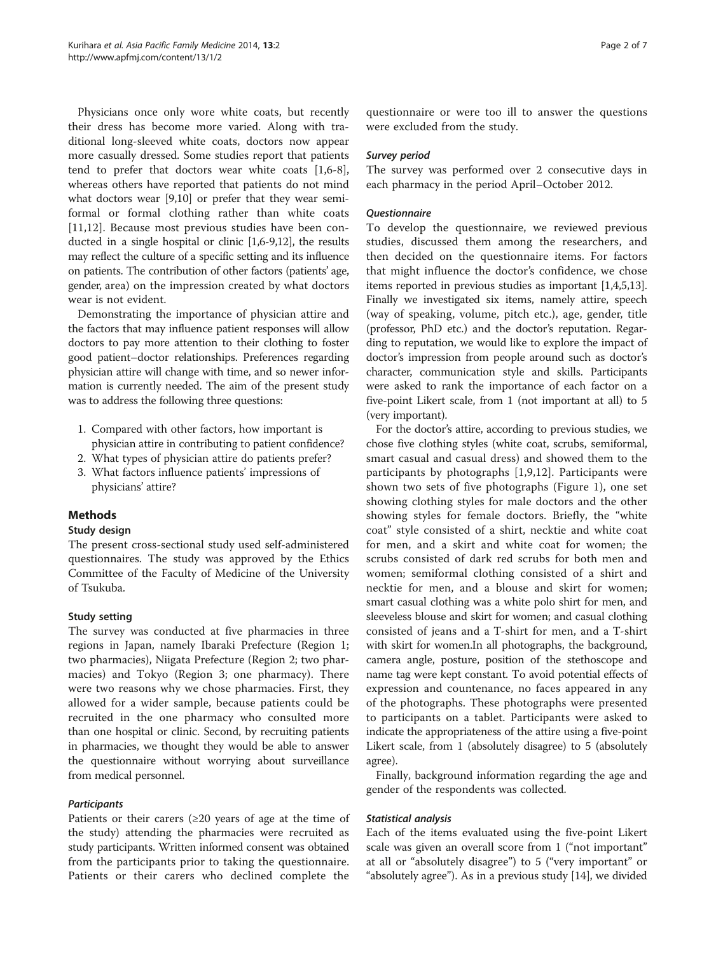Physicians once only wore white coats, but recently their dress has become more varied. Along with traditional long-sleeved white coats, doctors now appear more casually dressed. Some studies report that patients tend to prefer that doctors wear white coats [[1,6](#page-5-0)[-8](#page-6-0)], whereas others have reported that patients do not mind what doctors wear [\[9,10\]](#page-6-0) or prefer that they wear semiformal or formal clothing rather than white coats [[11,12](#page-6-0)]. Because most previous studies have been conducted in a single hospital or clinic [\[1,6-](#page-5-0)[9,12](#page-6-0)], the results may reflect the culture of a specific setting and its influence on patients. The contribution of other factors (patients' age, gender, area) on the impression created by what doctors wear is not evident.

Demonstrating the importance of physician attire and the factors that may influence patient responses will allow doctors to pay more attention to their clothing to foster good patient–doctor relationships. Preferences regarding physician attire will change with time, and so newer information is currently needed. The aim of the present study was to address the following three questions:

- 1. Compared with other factors, how important is physician attire in contributing to patient confidence?
- 2. What types of physician attire do patients prefer?
- 3. What factors influence patients' impressions of physicians' attire?

# Methods

## Study design

The present cross-sectional study used self-administered questionnaires. The study was approved by the Ethics Committee of the Faculty of Medicine of the University of Tsukuba.

## Study setting

The survey was conducted at five pharmacies in three regions in Japan, namely Ibaraki Prefecture (Region 1; two pharmacies), Niigata Prefecture (Region 2; two pharmacies) and Tokyo (Region 3; one pharmacy). There were two reasons why we chose pharmacies. First, they allowed for a wider sample, because patients could be recruited in the one pharmacy who consulted more than one hospital or clinic. Second, by recruiting patients in pharmacies, we thought they would be able to answer the questionnaire without worrying about surveillance from medical personnel.

## **Participants**

Patients or their carers  $(\geq 20)$  years of age at the time of the study) attending the pharmacies were recruited as study participants. Written informed consent was obtained from the participants prior to taking the questionnaire. Patients or their carers who declined complete the

questionnaire or were too ill to answer the questions were excluded from the study.

## Survey period

The survey was performed over 2 consecutive days in each pharmacy in the period April–October 2012.

## **Ouestionnaire**

To develop the questionnaire, we reviewed previous studies, discussed them among the researchers, and then decided on the questionnaire items. For factors that might influence the doctor's confidence, we chose items reported in previous studies as important [\[1,4,5,](#page-5-0)[13](#page-6-0)]. Finally we investigated six items, namely attire, speech (way of speaking, volume, pitch etc.), age, gender, title (professor, PhD etc.) and the doctor's reputation. Regarding to reputation, we would like to explore the impact of doctor's impression from people around such as doctor's character, communication style and skills. Participants were asked to rank the importance of each factor on a five-point Likert scale, from 1 (not important at all) to 5 (very important).

For the doctor's attire, according to previous studies, we chose five clothing styles (white coat, scrubs, semiformal, smart casual and casual dress) and showed them to the participants by photographs [\[1](#page-5-0),[9,12\]](#page-6-0). Participants were shown two sets of five photographs (Figure [1\)](#page-2-0), one set showing clothing styles for male doctors and the other showing styles for female doctors. Briefly, the "white coat" style consisted of a shirt, necktie and white coat for men, and a skirt and white coat for women; the scrubs consisted of dark red scrubs for both men and women; semiformal clothing consisted of a shirt and necktie for men, and a blouse and skirt for women; smart casual clothing was a white polo shirt for men, and sleeveless blouse and skirt for women; and casual clothing consisted of jeans and a T-shirt for men, and a T-shirt with skirt for women.In all photographs, the background, camera angle, posture, position of the stethoscope and name tag were kept constant. To avoid potential effects of expression and countenance, no faces appeared in any of the photographs. These photographs were presented to participants on a tablet. Participants were asked to indicate the appropriateness of the attire using a five-point Likert scale, from 1 (absolutely disagree) to 5 (absolutely agree).

Finally, background information regarding the age and gender of the respondents was collected.

## Statistical analysis

Each of the items evaluated using the five-point Likert scale was given an overall score from 1 ("not important" at all or "absolutely disagree") to 5 ("very important" or "absolutely agree"). As in a previous study [\[14\]](#page-6-0), we divided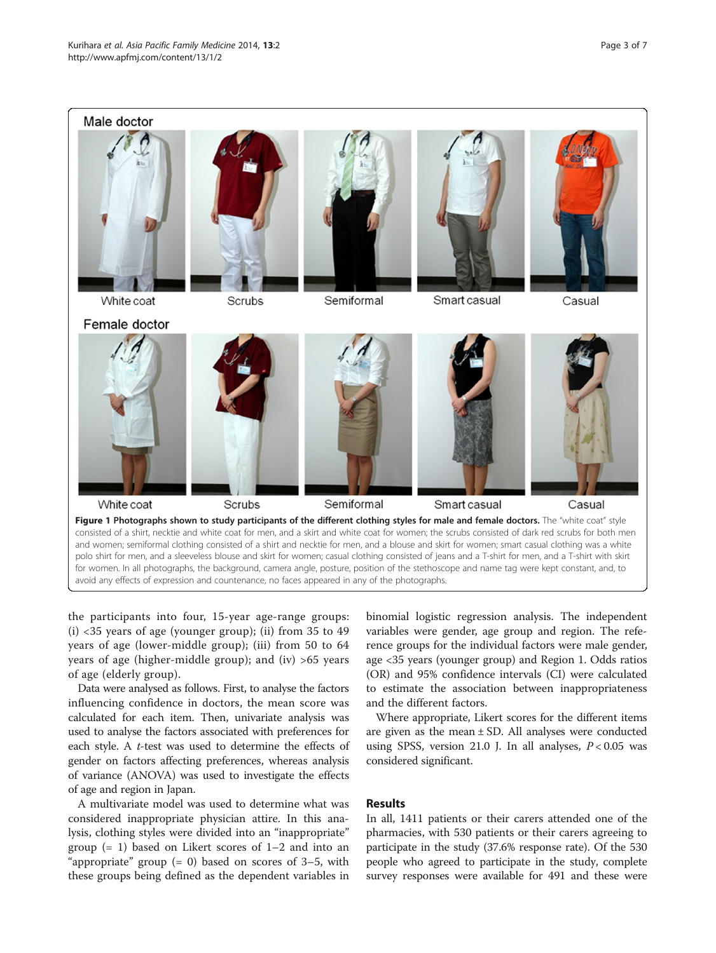<span id="page-2-0"></span>

the participants into four, 15-year age-range groups:  $(i)$  <35 years of age (younger group); (ii) from 35 to 49 years of age (lower-middle group); (iii) from 50 to 64 years of age (higher-middle group); and (iv) >65 years of age (elderly group).

Data were analysed as follows. First, to analyse the factors influencing confidence in doctors, the mean score was calculated for each item. Then, univariate analysis was used to analyse the factors associated with preferences for each style. A t-test was used to determine the effects of gender on factors affecting preferences, whereas analysis of variance (ANOVA) was used to investigate the effects of age and region in Japan.

A multivariate model was used to determine what was considered inappropriate physician attire. In this analysis, clothing styles were divided into an "inappropriate" group (= 1) based on Likert scores of 1–2 and into an "appropriate" group  $(= 0)$  based on scores of 3–5, with these groups being defined as the dependent variables in

binomial logistic regression analysis. The independent variables were gender, age group and region. The reference groups for the individual factors were male gender, age <35 years (younger group) and Region 1. Odds ratios (OR) and 95% confidence intervals (CI) were calculated to estimate the association between inappropriateness and the different factors.

Where appropriate, Likert scores for the different items are given as the mean  $\pm$  SD. All analyses were conducted using SPSS, version 21.0 J. In all analyses,  $P < 0.05$  was considered significant.

## Results

In all, 1411 patients or their carers attended one of the pharmacies, with 530 patients or their carers agreeing to participate in the study (37.6% response rate). Of the 530 people who agreed to participate in the study, complete survey responses were available for 491 and these were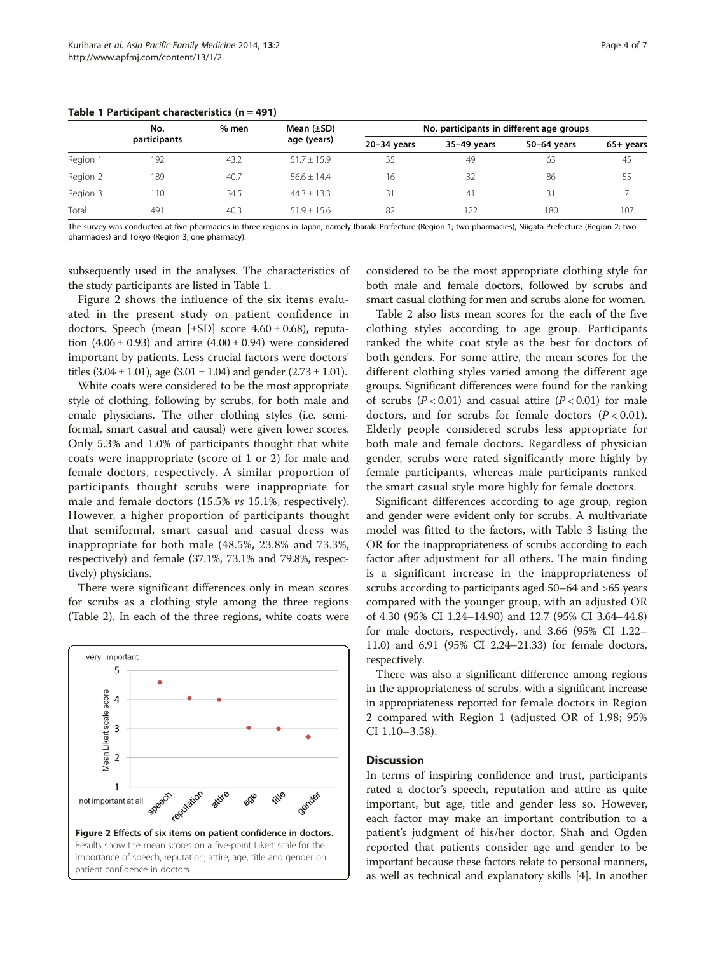|          | No.<br>$%$ men |      | Mean $(\pm SD)$ | No. participants in different age groups |             |             |             |
|----------|----------------|------|-----------------|------------------------------------------|-------------|-------------|-------------|
|          | participants   |      | age (years)     | $20-34$ years                            | 35-49 years | 50-64 years | $65+$ years |
| Region 1 | 192            | 43.2 | $51.7 + 15.9$   | 35                                       | 49          | 63          | 45          |
| Region 2 | 189            | 40.7 | $56.6 + 14.4$   | 16                                       | 32          | 86          | 55          |
| Region 3 | 110            | 34.5 | $44.3 + 13.3$   | 31                                       | 41          | 31          |             |
| Total    | 491            | 40.3 | $51.9 + 15.6$   | 82                                       | 122         | 180         | 107         |

#### Table 1 Participant characteristics (n = 491)

The survey was conducted at five pharmacies in three regions in Japan, namely Ibaraki Prefecture (Region 1; two pharmacies), Niigata Prefecture (Region 2; two pharmacies) and Tokyo (Region 3; one pharmacy).

subsequently used in the analyses. The characteristics of the study participants are listed in Table 1.

Figure 2 shows the influence of the six items evaluated in the present study on patient confidence in doctors. Speech (mean  $[\pm SD]$  score  $4.60 \pm 0.68$ ), reputation  $(4.06 \pm 0.93)$  and attire  $(4.00 \pm 0.94)$  were considered important by patients. Less crucial factors were doctors' titles  $(3.04 \pm 1.01)$ , age  $(3.01 \pm 1.04)$  and gender  $(2.73 \pm 1.01)$ .

White coats were considered to be the most appropriate style of clothing, following by scrubs, for both male and emale physicians. The other clothing styles (i.e. semiformal, smart casual and causal) were given lower scores. Only 5.3% and 1.0% of participants thought that white coats were inappropriate (score of 1 or 2) for male and female doctors, respectively. A similar proportion of participants thought scrubs were inappropriate for male and female doctors (15.5% vs 15.1%, respectively). However, a higher proportion of participants thought that semiformal, smart casual and casual dress was inappropriate for both male (48.5%, 23.8% and 73.3%, respectively) and female (37.1%, 73.1% and 79.8%, respectively) physicians.

There were significant differences only in mean scores for scrubs as a clothing style among the three regions (Table [2](#page-4-0)). In each of the three regions, white coats were



considered to be the most appropriate clothing style for both male and female doctors, followed by scrubs and smart casual clothing for men and scrubs alone for women.

Table [2](#page-4-0) also lists mean scores for the each of the five clothing styles according to age group. Participants ranked the white coat style as the best for doctors of both genders. For some attire, the mean scores for the different clothing styles varied among the different age groups. Significant differences were found for the ranking of scrubs  $(P < 0.01)$  and casual attire  $(P < 0.01)$  for male doctors, and for scrubs for female doctors  $(P < 0.01)$ . Elderly people considered scrubs less appropriate for both male and female doctors. Regardless of physician gender, scrubs were rated significantly more highly by female participants, whereas male participants ranked the smart casual style more highly for female doctors.

Significant differences according to age group, region and gender were evident only for scrubs. A multivariate model was fitted to the factors, with Table [3](#page-4-0) listing the OR for the inappropriateness of scrubs according to each factor after adjustment for all others. The main finding is a significant increase in the inappropriateness of scrubs according to participants aged 50–64 and >65 years compared with the younger group, with an adjusted OR of 4.30 (95% CI 1.24–14.90) and 12.7 (95% CI 3.64–44.8) for male doctors, respectively, and 3.66 (95% CI 1.22– 11.0) and 6.91 (95% CI 2.24–21.33) for female doctors, respectively.

There was also a significant difference among regions in the appropriateness of scrubs, with a significant increase in appropriateness reported for female doctors in Region 2 compared with Region 1 (adjusted OR of 1.98; 95% CI 1.10–3.58).

#### **Discussion**

In terms of inspiring confidence and trust, participants rated a doctor's speech, reputation and attire as quite important, but age, title and gender less so. However, each factor may make an important contribution to a patient's judgment of his/her doctor. Shah and Ogden reported that patients consider age and gender to be important because these factors relate to personal manners, as well as technical and explanatory skills [\[4\]](#page-5-0). In another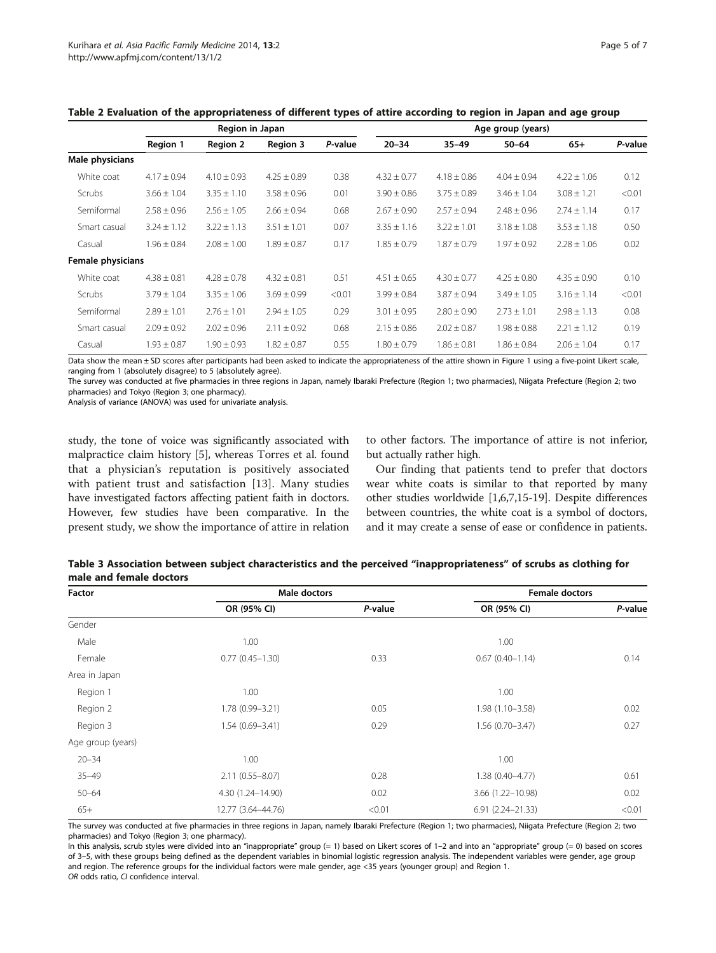|                   | Region in Japan |                 |                 | Age group (years) |                 |                 |                 |                 |         |
|-------------------|-----------------|-----------------|-----------------|-------------------|-----------------|-----------------|-----------------|-----------------|---------|
|                   | Region 1        | <b>Region 2</b> | <b>Region 3</b> | P-value           | $20 - 34$       | $35 - 49$       | $50 - 64$       | $65+$           | P-value |
| Male physicians   |                 |                 |                 |                   |                 |                 |                 |                 |         |
| White coat        | $4.17 \pm 0.94$ | $4.10 \pm 0.93$ | $4.25 \pm 0.89$ | 0.38              | $4.32 \pm 0.77$ | $4.18 \pm 0.86$ | $4.04 \pm 0.94$ | $4.22 + 1.06$   | 0.12    |
| Scrubs            | $3.66 \pm 1.04$ | $3.35 \pm 1.10$ | $3.58 \pm 0.96$ | 0.01              | $3.90 \pm 0.86$ | $3.75 \pm 0.89$ | $3.46 \pm 1.04$ | $3.08 \pm 1.21$ | < 0.01  |
| Semiformal        | $2.58 \pm 0.96$ | $2.56 \pm 1.05$ | $2.66 \pm 0.94$ | 0.68              | $2.67 \pm 0.90$ | $2.57 \pm 0.94$ | $2.48 \pm 0.96$ | $2.74 \pm 1.14$ | 0.17    |
| Smart casual      | $3.24 \pm 1.12$ | $3.22 \pm 1.13$ | $3.51 \pm 1.01$ | 0.07              | $3.35 \pm 1.16$ | $3.22 \pm 1.01$ | $3.18 \pm 1.08$ | $3.53 \pm 1.18$ | 0.50    |
| Casual            | $1.96 \pm 0.84$ | $2.08 \pm 1.00$ | $1.89 \pm 0.87$ | 0.17              | $1.85 \pm 0.79$ | $1.87 \pm 0.79$ | $1.97 \pm 0.92$ | $2.28 \pm 1.06$ | 0.02    |
| Female physicians |                 |                 |                 |                   |                 |                 |                 |                 |         |
| White coat        | $4.38 \pm 0.81$ | $4.28 \pm 0.78$ | $4.32 \pm 0.81$ | 0.51              | $4.51 \pm 0.65$ | $4.30 \pm 0.77$ | $4.25 \pm 0.80$ | $4.35 \pm 0.90$ | 0.10    |
| Scrubs            | $3.79 \pm 1.04$ | $3.35 \pm 1.06$ | $3.69 \pm 0.99$ | < 0.01            | $3.99 \pm 0.84$ | $3.87 \pm 0.94$ | $3.49 \pm 1.05$ | $3.16 \pm 1.14$ | < 0.01  |
| Semiformal        | $2.89 \pm 1.01$ | $2.76 \pm 1.01$ | $2.94 \pm 1.05$ | 0.29              | $3.01 \pm 0.95$ | $2.80 \pm 0.90$ | $2.73 \pm 1.01$ | $2.98 \pm 1.13$ | 0.08    |
| Smart casual      | $2.09 \pm 0.92$ | $2.02 \pm 0.96$ | $2.11 \pm 0.92$ | 0.68              | $2.15 \pm 0.86$ | $2.02 \pm 0.87$ | $1.98 \pm 0.88$ | $2.21 \pm 1.12$ | 0.19    |
| Casual            | $1.93 \pm 0.87$ | $1.90 \pm 0.93$ | $1.82 \pm 0.87$ | 0.55              | $1.80 \pm 0.79$ | $1.86 \pm 0.81$ | $1.86 \pm 0.84$ | $2.06 \pm 1.04$ | 0.17    |

<span id="page-4-0"></span>

| Table 2 Evaluation of the appropriateness of different types of attire according to region in Japan and age group |  |  |
|-------------------------------------------------------------------------------------------------------------------|--|--|
|-------------------------------------------------------------------------------------------------------------------|--|--|

Data show the mean ± SD scores after participants had been asked to indicate the appropriateness of the attire shown in Figure [1](#page-2-0) using a five-point Likert scale, ranging from 1 (absolutely disagree) to 5 (absolutely agree).

The survey was conducted at five pharmacies in three regions in Japan, namely Ibaraki Prefecture (Region 1; two pharmacies), Niigata Prefecture (Region 2; two pharmacies) and Tokyo (Region 3; one pharmacy).

Analysis of variance (ANOVA) was used for univariate analysis.

study, the tone of voice was significantly associated with malpractice claim history [\[5](#page-5-0)], whereas Torres et al. found that a physician's reputation is positively associated with patient trust and satisfaction [[13\]](#page-6-0). Many studies have investigated factors affecting patient faith in doctors. However, few studies have been comparative. In the present study, we show the importance of attire in relation to other factors. The importance of attire is not inferior, but actually rather high.

Our finding that patients tend to prefer that doctors wear white coats is similar to that reported by many other studies worldwide [[1,6](#page-5-0)[,7,15-19\]](#page-6-0). Despite differences between countries, the white coat is a symbol of doctors, and it may create a sense of ease or confidence in patients.

| Factor            | Male doctors        |         | <b>Female doctors</b> |         |  |
|-------------------|---------------------|---------|-----------------------|---------|--|
|                   | OR (95% CI)         | P-value | OR (95% CI)           | P-value |  |
| Gender            |                     |         |                       |         |  |
| Male              | 1.00                |         | 1.00                  |         |  |
| Female            | $0.77(0.45 - 1.30)$ | 0.33    | $0.67(0.40 - 1.14)$   | 0.14    |  |
| Area in Japan     |                     |         |                       |         |  |
| Region 1          | 1.00                |         | 1.00                  |         |  |
| Region 2          | 1.78 (0.99-3.21)    | 0.05    | $1.98(1.10 - 3.58)$   | 0.02    |  |
| Region 3          | $1.54(0.69 - 3.41)$ | 0.29    | $1.56(0.70 - 3.47)$   | 0.27    |  |
| Age group (years) |                     |         |                       |         |  |
| $20 - 34$         | 1.00                |         | 1.00                  |         |  |
| $35 - 49$         | $2.11(0.55 - 8.07)$ | 0.28    | 1.38 (0.40-4.77)      | 0.61    |  |
| $50 - 64$         | 4.30 (1.24-14.90)   | 0.02    | 3.66 (1.22-10.98)     | 0.02    |  |
| $65+$             | 12.77 (3.64-44.76)  | < 0.01  | $6.91(2.24 - 21.33)$  | < 0.01  |  |

| Table 3 Association between subject characteristics and the perceived "inappropriateness" of scrubs as clothing for |  |
|---------------------------------------------------------------------------------------------------------------------|--|
| male and female doctors                                                                                             |  |

The survey was conducted at five pharmacies in three regions in Japan, namely Ibaraki Prefecture (Region 1; two pharmacies), Niigata Prefecture (Region 2; two pharmacies) and Tokyo (Region 3; one pharmacy).

In this analysis, scrub styles were divided into an "inappropriate" group (= 1) based on Likert scores of 1–2 and into an "appropriate" group (= 0) based on scores of 3–5, with these groups being defined as the dependent variables in binomial logistic regression analysis. The independent variables were gender, age group and region. The reference groups for the individual factors were male gender, age <35 years (younger group) and Region 1. OR odds ratio, CI confidence interval.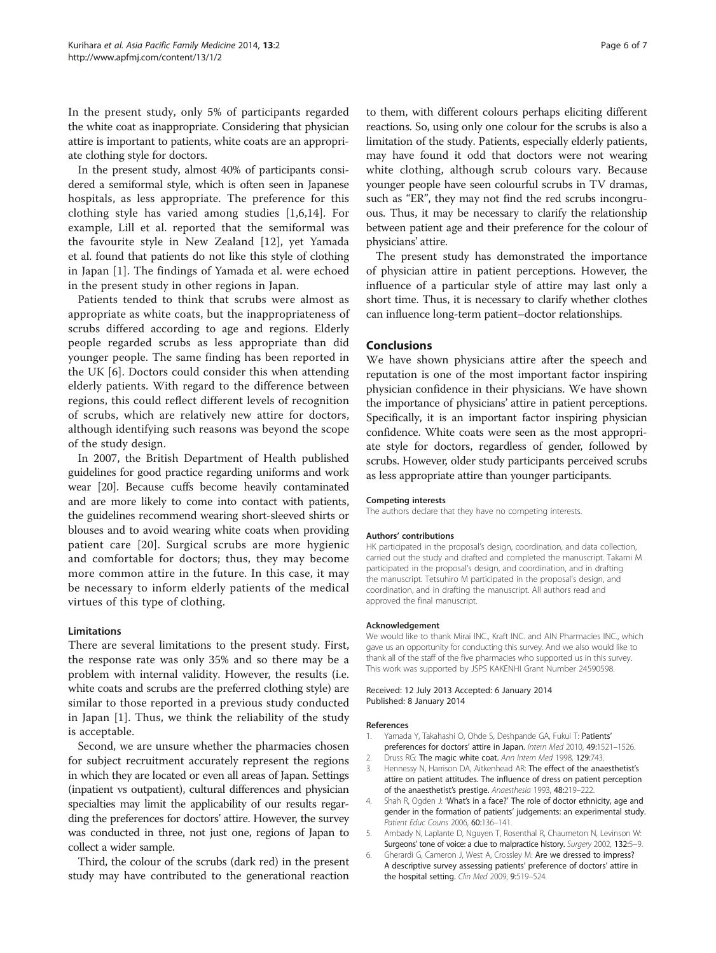<span id="page-5-0"></span>In the present study, only 5% of participants regarded the white coat as inappropriate. Considering that physician attire is important to patients, white coats are an appropriate clothing style for doctors.

In the present study, almost 40% of participants considered a semiformal style, which is often seen in Japanese hospitals, as less appropriate. The preference for this clothing style has varied among studies [1,6,[14\]](#page-6-0). For example, Lill et al. reported that the semiformal was the favourite style in New Zealand [[12\]](#page-6-0), yet Yamada et al. found that patients do not like this style of clothing in Japan [1]. The findings of Yamada et al. were echoed in the present study in other regions in Japan.

Patients tended to think that scrubs were almost as appropriate as white coats, but the inappropriateness of scrubs differed according to age and regions. Elderly people regarded scrubs as less appropriate than did younger people. The same finding has been reported in the UK [6]. Doctors could consider this when attending elderly patients. With regard to the difference between regions, this could reflect different levels of recognition of scrubs, which are relatively new attire for doctors, although identifying such reasons was beyond the scope of the study design.

In 2007, the British Department of Health published guidelines for good practice regarding uniforms and work wear [\[20\]](#page-6-0). Because cuffs become heavily contaminated and are more likely to come into contact with patients, the guidelines recommend wearing short-sleeved shirts or blouses and to avoid wearing white coats when providing patient care [[20\]](#page-6-0). Surgical scrubs are more hygienic and comfortable for doctors; thus, they may become more common attire in the future. In this case, it may be necessary to inform elderly patients of the medical virtues of this type of clothing.

## Limitations

There are several limitations to the present study. First, the response rate was only 35% and so there may be a problem with internal validity. However, the results (i.e. white coats and scrubs are the preferred clothing style) are similar to those reported in a previous study conducted in Japan [1]. Thus, we think the reliability of the study is acceptable.

Second, we are unsure whether the pharmacies chosen for subject recruitment accurately represent the regions in which they are located or even all areas of Japan. Settings (inpatient vs outpatient), cultural differences and physician specialties may limit the applicability of our results regarding the preferences for doctors' attire. However, the survey was conducted in three, not just one, regions of Japan to collect a wider sample.

Third, the colour of the scrubs (dark red) in the present study may have contributed to the generational reaction to them, with different colours perhaps eliciting different reactions. So, using only one colour for the scrubs is also a limitation of the study. Patients, especially elderly patients, may have found it odd that doctors were not wearing white clothing, although scrub colours vary. Because younger people have seen colourful scrubs in TV dramas, such as "ER", they may not find the red scrubs incongruous. Thus, it may be necessary to clarify the relationship between patient age and their preference for the colour of physicians' attire.

The present study has demonstrated the importance of physician attire in patient perceptions. However, the influence of a particular style of attire may last only a short time. Thus, it is necessary to clarify whether clothes can influence long-term patient–doctor relationships.

## Conclusions

We have shown physicians attire after the speech and reputation is one of the most important factor inspiring physician confidence in their physicians. We have shown the importance of physicians' attire in patient perceptions. Specifically, it is an important factor inspiring physician confidence. White coats were seen as the most appropriate style for doctors, regardless of gender, followed by scrubs. However, older study participants perceived scrubs as less appropriate attire than younger participants.

#### Competing interests

The authors declare that they have no competing interests.

#### Authors' contributions

HK participated in the proposal's design, coordination, and data collection, carried out the study and drafted and completed the manuscript. Takami M participated in the proposal's design, and coordination, and in drafting the manuscript. Tetsuhiro M participated in the proposal's design, and coordination, and in drafting the manuscript. All authors read and approved the final manuscript.

#### Acknowledgement

We would like to thank Mirai INC., Kraft INC. and AIN Pharmacies INC., which gave us an opportunity for conducting this survey. And we also would like to thank all of the staff of the five pharmacies who supported us in this survey. This work was supported by JSPS KAKENHI Grant Number 24590598.

#### Received: 12 July 2013 Accepted: 6 January 2014 Published: 8 January 2014

#### References

- 1. Yamada Y, Takahashi O, Ohde S, Deshpande GA, Fukui T: Patients' preferences for doctors' attire in Japan. Intern Med 2010, 49:1521–1526.
- 2. Druss RG: The magic white coat. Ann Intern Med 1998, 129:743
- 3. Hennessy N, Harrison DA, Aitkenhead AR: The effect of the anaesthetist's attire on patient attitudes. The influence of dress on patient perception of the anaesthetist's prestige. Anaesthesia 1993, 48:219–222.
- 4. Shah R, Ogden J: 'What's in a face?' The role of doctor ethnicity, age and gender in the formation of patients' judgements: an experimental study. Patient Educ Couns 2006, 60:136–141.
- 5. Ambady N, Laplante D, Nguyen T, Rosenthal R, Chaumeton N, Levinson W: Surgeons' tone of voice: a clue to malpractice history. Surgery 2002, 132:5-9.
- 6. Gherardi G, Cameron J, West A, Crossley M: Are we dressed to impress? A descriptive survey assessing patients' preference of doctors' attire in the hospital setting. Clin Med 2009, 9:519–524.